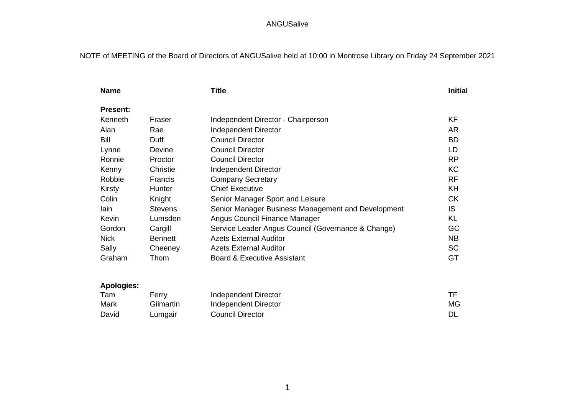# NOTE of MEETING of the Board of Directors of ANGUSalive held at 10:00 in Montrose Library on Friday 24 September 2021

| <b>Name</b>       |                | <b>Title</b>                                       | <b>Initial</b> |
|-------------------|----------------|----------------------------------------------------|----------------|
| <b>Present:</b>   |                |                                                    |                |
| Kenneth           | Fraser         | Independent Director - Chairperson                 | KF             |
| Alan              | Rae            | Independent Director                               | <b>AR</b>      |
| Bill              | Duff           | <b>Council Director</b>                            | <b>BD</b>      |
| Lynne             | Devine         | <b>Council Director</b>                            | LD             |
| Ronnie            | Proctor        | <b>Council Director</b>                            | <b>RP</b>      |
| Kenny             | Christie       | Independent Director                               | <b>KC</b>      |
| Robbie            | Francis        | <b>Company Secretary</b>                           | <b>RF</b>      |
| Kirsty            | Hunter         | <b>Chief Executive</b>                             | KH             |
| Colin             | Knight         | Senior Manager Sport and Leisure                   | <b>CK</b>      |
| lain              | <b>Stevens</b> | Senior Manager Business Management and Development | IS.            |
| Kevin             | Lumsden        | Angus Council Finance Manager                      | <b>KL</b>      |
| Gordon            | Cargill        | Service Leader Angus Council (Governance & Change) | GC             |
| <b>Nick</b>       | <b>Bennett</b> | <b>Azets External Auditor</b>                      | <b>NB</b>      |
| Sally             | Cheeney        | <b>Azets External Auditor</b>                      | <b>SC</b>      |
| Graham            | Thom           | <b>Board &amp; Executive Assistant</b>             | GT             |
| <b>Apologies:</b> |                |                                                    |                |
| Tam               | Ferry          | Independent Director                               | TF             |
|                   | $\sim$ $\sim$  |                                                    | $\sim$         |

Mark Gilmartin Independent Director Mark and Gilmartin MG David Lumgair Council Director **Council Director** Council Director **DL**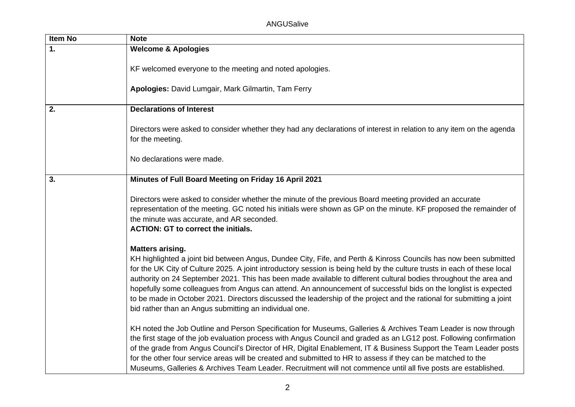| Item No | <b>Note</b>                                                                                                                                                                                                                                                                                                                                                                                                                                                                                                                                                                                                                                                                                        |
|---------|----------------------------------------------------------------------------------------------------------------------------------------------------------------------------------------------------------------------------------------------------------------------------------------------------------------------------------------------------------------------------------------------------------------------------------------------------------------------------------------------------------------------------------------------------------------------------------------------------------------------------------------------------------------------------------------------------|
| 1.      | <b>Welcome &amp; Apologies</b>                                                                                                                                                                                                                                                                                                                                                                                                                                                                                                                                                                                                                                                                     |
|         | KF welcomed everyone to the meeting and noted apologies.                                                                                                                                                                                                                                                                                                                                                                                                                                                                                                                                                                                                                                           |
|         | Apologies: David Lumgair, Mark Gilmartin, Tam Ferry                                                                                                                                                                                                                                                                                                                                                                                                                                                                                                                                                                                                                                                |
| 2.      | <b>Declarations of Interest</b>                                                                                                                                                                                                                                                                                                                                                                                                                                                                                                                                                                                                                                                                    |
|         | Directors were asked to consider whether they had any declarations of interest in relation to any item on the agenda<br>for the meeting.                                                                                                                                                                                                                                                                                                                                                                                                                                                                                                                                                           |
|         | No declarations were made.                                                                                                                                                                                                                                                                                                                                                                                                                                                                                                                                                                                                                                                                         |
| 3.      | Minutes of Full Board Meeting on Friday 16 April 2021                                                                                                                                                                                                                                                                                                                                                                                                                                                                                                                                                                                                                                              |
|         | Directors were asked to consider whether the minute of the previous Board meeting provided an accurate<br>representation of the meeting. GC noted his initials were shown as GP on the minute. KF proposed the remainder of<br>the minute was accurate, and AR seconded.<br><b>ACTION: GT to correct the initials.</b>                                                                                                                                                                                                                                                                                                                                                                             |
|         | <b>Matters arising.</b><br>KH highlighted a joint bid between Angus, Dundee City, Fife, and Perth & Kinross Councils has now been submitted<br>for the UK City of Culture 2025. A joint introductory session is being held by the culture trusts in each of these local<br>authority on 24 September 2021. This has been made available to different cultural bodies throughout the area and<br>hopefully some colleagues from Angus can attend. An announcement of successful bids on the longlist is expected<br>to be made in October 2021. Directors discussed the leadership of the project and the rational for submitting a joint<br>bid rather than an Angus submitting an individual one. |
|         | KH noted the Job Outline and Person Specification for Museums, Galleries & Archives Team Leader is now through<br>the first stage of the job evaluation process with Angus Council and graded as an LG12 post. Following confirmation<br>of the grade from Angus Council's Director of HR, Digital Enablement, IT & Business Support the Team Leader posts<br>for the other four service areas will be created and submitted to HR to assess if they can be matched to the<br>Museums, Galleries & Archives Team Leader. Recruitment will not commence until all five posts are established.                                                                                                       |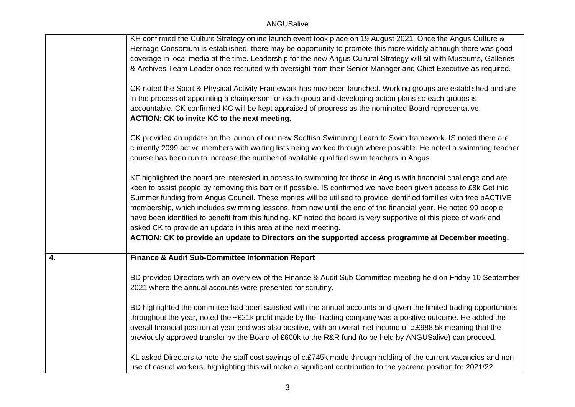|    | KH confirmed the Culture Strategy online launch event took place on 19 August 2021. Once the Angus Culture &<br>Heritage Consortium is established, there may be opportunity to promote this more widely although there was good<br>coverage in local media at the time. Leadership for the new Angus Cultural Strategy will sit with Museums, Galleries<br>& Archives Team Leader once recruited with oversight from their Senior Manager and Chief Executive as required.<br>CK noted the Sport & Physical Activity Framework has now been launched. Working groups are established and are<br>in the process of appointing a chairperson for each group and developing action plans so each groups is<br>accountable. CK confirmed KC will be kept appraised of progress as the nominated Board representative.<br>ACTION: CK to invite KC to the next meeting. |
|----|--------------------------------------------------------------------------------------------------------------------------------------------------------------------------------------------------------------------------------------------------------------------------------------------------------------------------------------------------------------------------------------------------------------------------------------------------------------------------------------------------------------------------------------------------------------------------------------------------------------------------------------------------------------------------------------------------------------------------------------------------------------------------------------------------------------------------------------------------------------------|
|    | CK provided an update on the launch of our new Scottish Swimming Learn to Swim framework. IS noted there are<br>currently 2099 active members with waiting lists being worked through where possible. He noted a swimming teacher<br>course has been run to increase the number of available qualified swim teachers in Angus.                                                                                                                                                                                                                                                                                                                                                                                                                                                                                                                                     |
|    | KF highlighted the board are interested in access to swimming for those in Angus with financial challenge and are<br>keen to assist people by removing this barrier if possible. IS confirmed we have been given access to £8k Get into<br>Summer funding from Angus Council. These monies will be utilised to provide identified families with free bACTIVE<br>membership, which includes swimming lessons, from now until the end of the financial year. He noted 99 people<br>have been identified to benefit from this funding. KF noted the board is very supportive of this piece of work and<br>asked CK to provide an update in this area at the next meeting.                                                                                                                                                                                             |
|    | ACTION: CK to provide an update to Directors on the supported access programme at December meeting.                                                                                                                                                                                                                                                                                                                                                                                                                                                                                                                                                                                                                                                                                                                                                                |
| 4. | <b>Finance &amp; Audit Sub-Committee Information Report</b>                                                                                                                                                                                                                                                                                                                                                                                                                                                                                                                                                                                                                                                                                                                                                                                                        |
|    | BD provided Directors with an overview of the Finance & Audit Sub-Committee meeting held on Friday 10 September<br>2021 where the annual accounts were presented for scrutiny.                                                                                                                                                                                                                                                                                                                                                                                                                                                                                                                                                                                                                                                                                     |
|    | BD highlighted the committee had been satisfied with the annual accounts and given the limited trading opportunities<br>throughout the year, noted the ~£21k profit made by the Trading company was a positive outcome. He added the<br>overall financial position at year end was also positive, with an overall net income of c.£988.5k meaning that the<br>previously approved transfer by the Board of £600k to the R&R fund (to be held by ANGUSalive) can proceed.                                                                                                                                                                                                                                                                                                                                                                                           |
|    | KL asked Directors to note the staff cost savings of c.£745k made through holding of the current vacancies and non-<br>use of casual workers, highlighting this will make a significant contribution to the yearend position for 2021/22.                                                                                                                                                                                                                                                                                                                                                                                                                                                                                                                                                                                                                          |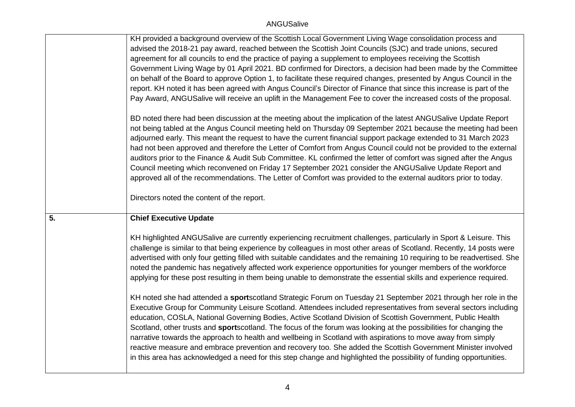|    | KH provided a background overview of the Scottish Local Government Living Wage consolidation process and<br>advised the 2018-21 pay award, reached between the Scottish Joint Councils (SJC) and trade unions, secured<br>agreement for all councils to end the practice of paying a supplement to employees receiving the Scottish<br>Government Living Wage by 01 April 2021. BD confirmed for Directors, a decision had been made by the Committee<br>on behalf of the Board to approve Option 1, to facilitate these required changes, presented by Angus Council in the<br>report. KH noted it has been agreed with Angus Council's Director of Finance that since this increase is part of the<br>Pay Award, ANGUSalive will receive an uplift in the Management Fee to cover the increased costs of the proposal.                                                   |
|----|----------------------------------------------------------------------------------------------------------------------------------------------------------------------------------------------------------------------------------------------------------------------------------------------------------------------------------------------------------------------------------------------------------------------------------------------------------------------------------------------------------------------------------------------------------------------------------------------------------------------------------------------------------------------------------------------------------------------------------------------------------------------------------------------------------------------------------------------------------------------------|
|    | BD noted there had been discussion at the meeting about the implication of the latest ANGUSalive Update Report<br>not being tabled at the Angus Council meeting held on Thursday 09 September 2021 because the meeting had been<br>adjourned early. This meant the request to have the current financial support package extended to 31 March 2023<br>had not been approved and therefore the Letter of Comfort from Angus Council could not be provided to the external<br>auditors prior to the Finance & Audit Sub Committee. KL confirmed the letter of comfort was signed after the Angus<br>Council meeting which reconvened on Friday 17 September 2021 consider the ANGUSalive Update Report and<br>approved all of the recommendations. The Letter of Comfort was provided to the external auditors prior to today.<br>Directors noted the content of the report. |
| 5. | <b>Chief Executive Update</b>                                                                                                                                                                                                                                                                                                                                                                                                                                                                                                                                                                                                                                                                                                                                                                                                                                              |
|    | KH highlighted ANGUSalive are currently experiencing recruitment challenges, particularly in Sport & Leisure. This                                                                                                                                                                                                                                                                                                                                                                                                                                                                                                                                                                                                                                                                                                                                                         |
|    | challenge is similar to that being experience by colleagues in most other areas of Scotland. Recently, 14 posts were<br>advertised with only four getting filled with suitable candidates and the remaining 10 requiring to be readvertised. She<br>noted the pandemic has negatively affected work experience opportunities for younger members of the workforce<br>applying for these post resulting in them being unable to demonstrate the essential skills and experience required.                                                                                                                                                                                                                                                                                                                                                                                   |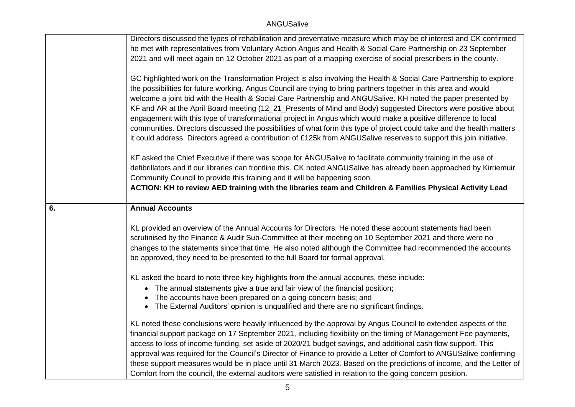|    | Directors discussed the types of rehabilitation and preventative measure which may be of interest and CK confirmed                                                                                                                                                                                                                                                                                                                                                                                                                                                                                                                                                                                                                                                                                                                                                                                                                                                                                                                                                                                                                                                                                                                                                                |
|----|-----------------------------------------------------------------------------------------------------------------------------------------------------------------------------------------------------------------------------------------------------------------------------------------------------------------------------------------------------------------------------------------------------------------------------------------------------------------------------------------------------------------------------------------------------------------------------------------------------------------------------------------------------------------------------------------------------------------------------------------------------------------------------------------------------------------------------------------------------------------------------------------------------------------------------------------------------------------------------------------------------------------------------------------------------------------------------------------------------------------------------------------------------------------------------------------------------------------------------------------------------------------------------------|
|    | he met with representatives from Voluntary Action Angus and Health & Social Care Partnership on 23 September                                                                                                                                                                                                                                                                                                                                                                                                                                                                                                                                                                                                                                                                                                                                                                                                                                                                                                                                                                                                                                                                                                                                                                      |
|    | 2021 and will meet again on 12 October 2021 as part of a mapping exercise of social prescribers in the county.                                                                                                                                                                                                                                                                                                                                                                                                                                                                                                                                                                                                                                                                                                                                                                                                                                                                                                                                                                                                                                                                                                                                                                    |
|    | GC highlighted work on the Transformation Project is also involving the Health & Social Care Partnership to explore<br>the possibilities for future working. Angus Council are trying to bring partners together in this area and would<br>welcome a joint bid with the Health & Social Care Partnership and ANGUSalive. KH noted the paper presented by<br>KF and AR at the April Board meeting (12_21_Presents of Mind and Body) suggested Directors were positive about<br>engagement with this type of transformational project in Angus which would make a positive difference to local<br>communities. Directors discussed the possibilities of what form this type of project could take and the health matters<br>it could address. Directors agreed a contribution of £125k from ANGUSalive reserves to support this join initiative.<br>KF asked the Chief Executive if there was scope for ANGUSalive to facilitate community training in the use of<br>defibrillators and if our libraries can frontline this. CK noted ANGUSalive has already been approached by Kirriemuir<br>Community Council to provide this training and it will be happening soon.<br>ACTION: KH to review AED training with the libraries team and Children & Families Physical Activity Lead |
| 6. | <b>Annual Accounts</b>                                                                                                                                                                                                                                                                                                                                                                                                                                                                                                                                                                                                                                                                                                                                                                                                                                                                                                                                                                                                                                                                                                                                                                                                                                                            |
|    |                                                                                                                                                                                                                                                                                                                                                                                                                                                                                                                                                                                                                                                                                                                                                                                                                                                                                                                                                                                                                                                                                                                                                                                                                                                                                   |
|    | KL provided an overview of the Annual Accounts for Directors. He noted these account statements had been<br>scrutinised by the Finance & Audit Sub-Committee at their meeting on 10 September 2021 and there were no<br>changes to the statements since that time. He also noted although the Committee had recommended the accounts<br>be approved, they need to be presented to the full Board for formal approval.                                                                                                                                                                                                                                                                                                                                                                                                                                                                                                                                                                                                                                                                                                                                                                                                                                                             |
|    | KL asked the board to note three key highlights from the annual accounts, these include:                                                                                                                                                                                                                                                                                                                                                                                                                                                                                                                                                                                                                                                                                                                                                                                                                                                                                                                                                                                                                                                                                                                                                                                          |
|    | • The annual statements give a true and fair view of the financial position;                                                                                                                                                                                                                                                                                                                                                                                                                                                                                                                                                                                                                                                                                                                                                                                                                                                                                                                                                                                                                                                                                                                                                                                                      |
|    | The accounts have been prepared on a going concern basis; and<br>$\bullet$                                                                                                                                                                                                                                                                                                                                                                                                                                                                                                                                                                                                                                                                                                                                                                                                                                                                                                                                                                                                                                                                                                                                                                                                        |
|    | • The External Auditors' opinion is unqualified and there are no significant findings.                                                                                                                                                                                                                                                                                                                                                                                                                                                                                                                                                                                                                                                                                                                                                                                                                                                                                                                                                                                                                                                                                                                                                                                            |
|    | KL noted these conclusions were heavily influenced by the approval by Angus Council to extended aspects of the<br>financial support package on 17 September 2021, including flexibility on the timing of Management Fee payments,<br>access to loss of income funding, set aside of 2020/21 budget savings, and additional cash flow support. This<br>approval was required for the Council's Director of Finance to provide a Letter of Comfort to ANGUSalive confirming<br>these support measures would be in place until 31 March 2023. Based on the predictions of income, and the Letter of<br>Comfort from the council, the external auditors were satisfied in relation to the going concern position.                                                                                                                                                                                                                                                                                                                                                                                                                                                                                                                                                                     |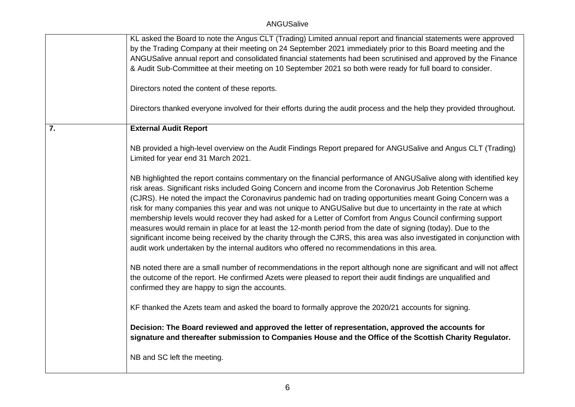|    | KL asked the Board to note the Angus CLT (Trading) Limited annual report and financial statements were approved<br>by the Trading Company at their meeting on 24 September 2021 immediately prior to this Board meeting and the<br>ANGUSalive annual report and consolidated financial statements had been scrutinised and approved by the Finance<br>& Audit Sub-Committee at their meeting on 10 September 2021 so both were ready for full board to consider.                                                                                                                                                                                                                                                                                                                                                                                                                                                          |
|----|---------------------------------------------------------------------------------------------------------------------------------------------------------------------------------------------------------------------------------------------------------------------------------------------------------------------------------------------------------------------------------------------------------------------------------------------------------------------------------------------------------------------------------------------------------------------------------------------------------------------------------------------------------------------------------------------------------------------------------------------------------------------------------------------------------------------------------------------------------------------------------------------------------------------------|
|    | Directors noted the content of these reports.                                                                                                                                                                                                                                                                                                                                                                                                                                                                                                                                                                                                                                                                                                                                                                                                                                                                             |
|    | Directors thanked everyone involved for their efforts during the audit process and the help they provided throughout.                                                                                                                                                                                                                                                                                                                                                                                                                                                                                                                                                                                                                                                                                                                                                                                                     |
| 7. | <b>External Audit Report</b>                                                                                                                                                                                                                                                                                                                                                                                                                                                                                                                                                                                                                                                                                                                                                                                                                                                                                              |
|    | NB provided a high-level overview on the Audit Findings Report prepared for ANGUSalive and Angus CLT (Trading)<br>Limited for year end 31 March 2021.                                                                                                                                                                                                                                                                                                                                                                                                                                                                                                                                                                                                                                                                                                                                                                     |
|    | NB highlighted the report contains commentary on the financial performance of ANGUSalive along with identified key<br>risk areas. Significant risks included Going Concern and income from the Coronavirus Job Retention Scheme<br>(CJRS). He noted the impact the Coronavirus pandemic had on trading opportunities meant Going Concern was a<br>risk for many companies this year and was not unique to ANGUSalive but due to uncertainty in the rate at which<br>membership levels would recover they had asked for a Letter of Comfort from Angus Council confirming support<br>measures would remain in place for at least the 12-month period from the date of signing (today). Due to the<br>significant income being received by the charity through the CJRS, this area was also investigated in conjunction with<br>audit work undertaken by the internal auditors who offered no recommendations in this area. |
|    | NB noted there are a small number of recommendations in the report although none are significant and will not affect<br>the outcome of the report. He confirmed Azets were pleased to report their audit findings are unqualified and<br>confirmed they are happy to sign the accounts.                                                                                                                                                                                                                                                                                                                                                                                                                                                                                                                                                                                                                                   |
|    | KF thanked the Azets team and asked the board to formally approve the 2020/21 accounts for signing.                                                                                                                                                                                                                                                                                                                                                                                                                                                                                                                                                                                                                                                                                                                                                                                                                       |
|    | Decision: The Board reviewed and approved the letter of representation, approved the accounts for<br>signature and thereafter submission to Companies House and the Office of the Scottish Charity Regulator.                                                                                                                                                                                                                                                                                                                                                                                                                                                                                                                                                                                                                                                                                                             |
|    | NB and SC left the meeting.                                                                                                                                                                                                                                                                                                                                                                                                                                                                                                                                                                                                                                                                                                                                                                                                                                                                                               |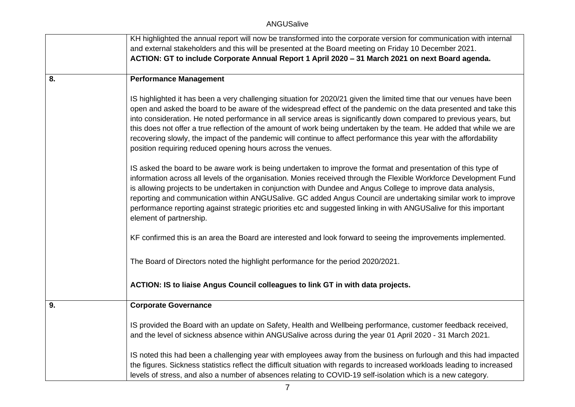|    | KH highlighted the annual report will now be transformed into the corporate version for communication with internal                                                                                                                                                                                                                                                                                                                                                                                                                                                                                                                                                           |
|----|-------------------------------------------------------------------------------------------------------------------------------------------------------------------------------------------------------------------------------------------------------------------------------------------------------------------------------------------------------------------------------------------------------------------------------------------------------------------------------------------------------------------------------------------------------------------------------------------------------------------------------------------------------------------------------|
|    | and external stakeholders and this will be presented at the Board meeting on Friday 10 December 2021.                                                                                                                                                                                                                                                                                                                                                                                                                                                                                                                                                                         |
|    | ACTION: GT to include Corporate Annual Report 1 April 2020 - 31 March 2021 on next Board agenda.                                                                                                                                                                                                                                                                                                                                                                                                                                                                                                                                                                              |
|    |                                                                                                                                                                                                                                                                                                                                                                                                                                                                                                                                                                                                                                                                               |
| 8. | <b>Performance Management</b>                                                                                                                                                                                                                                                                                                                                                                                                                                                                                                                                                                                                                                                 |
|    | IS highlighted it has been a very challenging situation for 2020/21 given the limited time that our venues have been<br>open and asked the board to be aware of the widespread effect of the pandemic on the data presented and take this<br>into consideration. He noted performance in all service areas is significantly down compared to previous years, but<br>this does not offer a true reflection of the amount of work being undertaken by the team. He added that while we are<br>recovering slowly, the impact of the pandemic will continue to affect performance this year with the affordability<br>position requiring reduced opening hours across the venues. |
|    | IS asked the board to be aware work is being undertaken to improve the format and presentation of this type of<br>information across all levels of the organisation. Monies received through the Flexible Workforce Development Fund<br>is allowing projects to be undertaken in conjunction with Dundee and Angus College to improve data analysis,<br>reporting and communication within ANGUSalive. GC added Angus Council are undertaking similar work to improve<br>performance reporting against strategic priorities etc and suggested linking in with ANGUSalive for this important<br>element of partnership.                                                        |
|    | KF confirmed this is an area the Board are interested and look forward to seeing the improvements implemented.                                                                                                                                                                                                                                                                                                                                                                                                                                                                                                                                                                |
|    | The Board of Directors noted the highlight performance for the period 2020/2021.                                                                                                                                                                                                                                                                                                                                                                                                                                                                                                                                                                                              |
|    | ACTION: IS to liaise Angus Council colleagues to link GT in with data projects.                                                                                                                                                                                                                                                                                                                                                                                                                                                                                                                                                                                               |
| 9. | <b>Corporate Governance</b>                                                                                                                                                                                                                                                                                                                                                                                                                                                                                                                                                                                                                                                   |
|    | IS provided the Board with an update on Safety, Health and Wellbeing performance, customer feedback received,<br>and the level of sickness absence within ANGUSalive across during the year 01 April 2020 - 31 March 2021.                                                                                                                                                                                                                                                                                                                                                                                                                                                    |
|    | IS noted this had been a challenging year with employees away from the business on furlough and this had impacted<br>the figures. Sickness statistics reflect the difficult situation with regards to increased workloads leading to increased<br>levels of stress, and also a number of absences relating to COVID-19 self-isolation which is a new category.                                                                                                                                                                                                                                                                                                                |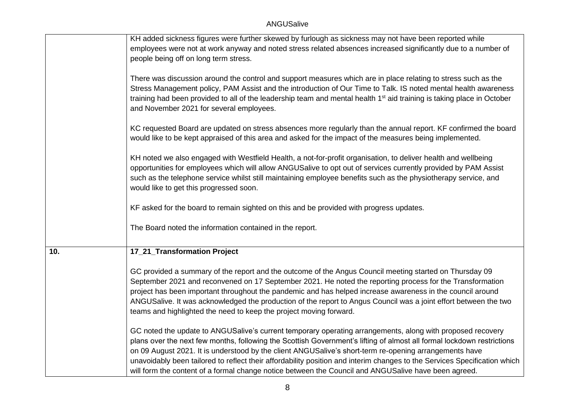|     | KH added sickness figures were further skewed by furlough as sickness may not have been reported while<br>employees were not at work anyway and noted stress related absences increased significantly due to a number of                                                                                                                                                                                                                                                                                                                                                            |
|-----|-------------------------------------------------------------------------------------------------------------------------------------------------------------------------------------------------------------------------------------------------------------------------------------------------------------------------------------------------------------------------------------------------------------------------------------------------------------------------------------------------------------------------------------------------------------------------------------|
|     | people being off on long term stress.                                                                                                                                                                                                                                                                                                                                                                                                                                                                                                                                               |
|     | There was discussion around the control and support measures which are in place relating to stress such as the<br>Stress Management policy, PAM Assist and the introduction of Our Time to Talk. IS noted mental health awareness<br>training had been provided to all of the leadership team and mental health 1 <sup>st</sup> aid training is taking place in October<br>and November 2021 for several employees.                                                                                                                                                                 |
|     | KC requested Board are updated on stress absences more regularly than the annual report. KF confirmed the board<br>would like to be kept appraised of this area and asked for the impact of the measures being implemented.                                                                                                                                                                                                                                                                                                                                                         |
|     | KH noted we also engaged with Westfield Health, a not-for-profit organisation, to deliver health and wellbeing<br>opportunities for employees which will allow ANGUSalive to opt out of services currently provided by PAM Assist<br>such as the telephone service whilst still maintaining employee benefits such as the physiotherapy service, and<br>would like to get this progressed soon.                                                                                                                                                                                     |
|     | KF asked for the board to remain sighted on this and be provided with progress updates.                                                                                                                                                                                                                                                                                                                                                                                                                                                                                             |
|     | The Board noted the information contained in the report.                                                                                                                                                                                                                                                                                                                                                                                                                                                                                                                            |
| 10. | 17_21_Transformation Project                                                                                                                                                                                                                                                                                                                                                                                                                                                                                                                                                        |
|     | GC provided a summary of the report and the outcome of the Angus Council meeting started on Thursday 09<br>September 2021 and reconvened on 17 September 2021. He noted the reporting process for the Transformation<br>project has been important throughout the pandemic and has helped increase awareness in the council around<br>ANGUSalive. It was acknowledged the production of the report to Angus Council was a joint effort between the two<br>teams and highlighted the need to keep the project moving forward.                                                        |
|     | GC noted the update to ANGUSalive's current temporary operating arrangements, along with proposed recovery<br>plans over the next few months, following the Scottish Government's lifting of almost all formal lockdown restrictions<br>on 09 August 2021. It is understood by the client ANGUSalive's short-term re-opening arrangements have<br>unavoidably been tailored to reflect their affordability position and interim changes to the Services Specification which<br>will form the content of a formal change notice between the Council and ANGUSalive have been agreed. |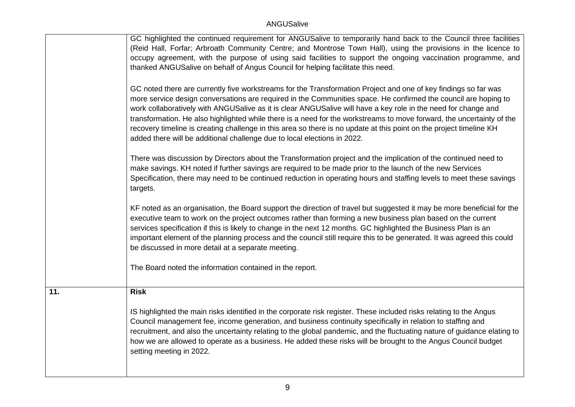|     | GC highlighted the continued requirement for ANGUSalive to temporarily hand back to the Council three facilities                                                                                                                                                                                                                                                                                                                                                                                                                                                                                                                                                                 |
|-----|----------------------------------------------------------------------------------------------------------------------------------------------------------------------------------------------------------------------------------------------------------------------------------------------------------------------------------------------------------------------------------------------------------------------------------------------------------------------------------------------------------------------------------------------------------------------------------------------------------------------------------------------------------------------------------|
|     | (Reid Hall, Forfar; Arbroath Community Centre; and Montrose Town Hall), using the provisions in the licence to                                                                                                                                                                                                                                                                                                                                                                                                                                                                                                                                                                   |
|     | occupy agreement, with the purpose of using said facilities to support the ongoing vaccination programme, and                                                                                                                                                                                                                                                                                                                                                                                                                                                                                                                                                                    |
|     | thanked ANGUSalive on behalf of Angus Council for helping facilitate this need.                                                                                                                                                                                                                                                                                                                                                                                                                                                                                                                                                                                                  |
|     |                                                                                                                                                                                                                                                                                                                                                                                                                                                                                                                                                                                                                                                                                  |
|     | GC noted there are currently five workstreams for the Transformation Project and one of key findings so far was<br>more service design conversations are required in the Communities space. He confirmed the council are hoping to<br>work collaboratively with ANGUSalive as it is clear ANGUSalive will have a key role in the need for change and<br>transformation. He also highlighted while there is a need for the workstreams to move forward, the uncertainty of the<br>recovery timeline is creating challenge in this area so there is no update at this point on the project timeline KH<br>added there will be additional challenge due to local elections in 2022. |
|     | There was discussion by Directors about the Transformation project and the implication of the continued need to                                                                                                                                                                                                                                                                                                                                                                                                                                                                                                                                                                  |
|     | make savings. KH noted if further savings are required to be made prior to the launch of the new Services                                                                                                                                                                                                                                                                                                                                                                                                                                                                                                                                                                        |
|     | Specification, there may need to be continued reduction in operating hours and staffing levels to meet these savings                                                                                                                                                                                                                                                                                                                                                                                                                                                                                                                                                             |
|     | targets.                                                                                                                                                                                                                                                                                                                                                                                                                                                                                                                                                                                                                                                                         |
|     |                                                                                                                                                                                                                                                                                                                                                                                                                                                                                                                                                                                                                                                                                  |
|     | KF noted as an organisation, the Board support the direction of travel but suggested it may be more beneficial for the<br>executive team to work on the project outcomes rather than forming a new business plan based on the current<br>services specification if this is likely to change in the next 12 months. GC highlighted the Business Plan is an<br>important element of the planning process and the council still require this to be generated. It was agreed this could<br>be discussed in more detail at a separate meeting.                                                                                                                                        |
|     |                                                                                                                                                                                                                                                                                                                                                                                                                                                                                                                                                                                                                                                                                  |
|     | The Board noted the information contained in the report.                                                                                                                                                                                                                                                                                                                                                                                                                                                                                                                                                                                                                         |
|     |                                                                                                                                                                                                                                                                                                                                                                                                                                                                                                                                                                                                                                                                                  |
| 11. | <b>Risk</b>                                                                                                                                                                                                                                                                                                                                                                                                                                                                                                                                                                                                                                                                      |
|     |                                                                                                                                                                                                                                                                                                                                                                                                                                                                                                                                                                                                                                                                                  |
|     | IS highlighted the main risks identified in the corporate risk register. These included risks relating to the Angus                                                                                                                                                                                                                                                                                                                                                                                                                                                                                                                                                              |
|     | Council management fee, income generation, and business continuity specifically in relation to staffing and                                                                                                                                                                                                                                                                                                                                                                                                                                                                                                                                                                      |
|     | recruitment, and also the uncertainty relating to the global pandemic, and the fluctuating nature of guidance elating to                                                                                                                                                                                                                                                                                                                                                                                                                                                                                                                                                         |
|     | how we are allowed to operate as a business. He added these risks will be brought to the Angus Council budget                                                                                                                                                                                                                                                                                                                                                                                                                                                                                                                                                                    |
|     | setting meeting in 2022.                                                                                                                                                                                                                                                                                                                                                                                                                                                                                                                                                                                                                                                         |
|     |                                                                                                                                                                                                                                                                                                                                                                                                                                                                                                                                                                                                                                                                                  |
|     |                                                                                                                                                                                                                                                                                                                                                                                                                                                                                                                                                                                                                                                                                  |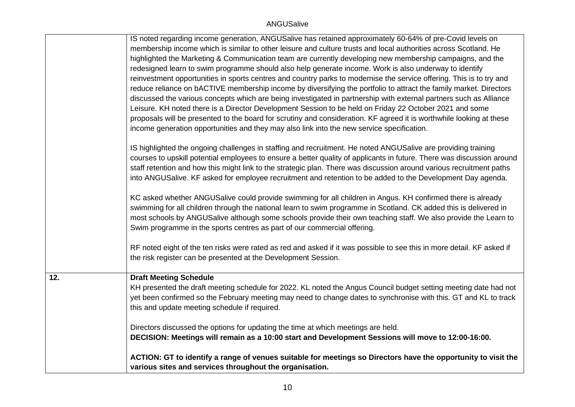|     | IS noted regarding income generation, ANGUSalive has retained approximately 60-64% of pre-Covid levels on              |
|-----|------------------------------------------------------------------------------------------------------------------------|
|     | membership income which is similar to other leisure and culture trusts and local authorities across Scotland. He       |
|     | highlighted the Marketing & Communication team are currently developing new membership campaigns, and the              |
|     | redesigned learn to swim programme should also help generate income. Work is also underway to identify                 |
|     | reinvestment opportunities in sports centres and country parks to modernise the service offering. This is to try and   |
|     | reduce reliance on bACTIVE membership income by diversifying the portfolio to attract the family market. Directors     |
|     | discussed the various concepts which are being investigated in partnership with external partners such as Alliance     |
|     | Leisure. KH noted there is a Director Development Session to be held on Friday 22 October 2021 and some                |
|     | proposals will be presented to the board for scrutiny and consideration. KF agreed it is worthwhile looking at these   |
|     | income generation opportunities and they may also link into the new service specification.                             |
|     |                                                                                                                        |
|     | IS highlighted the ongoing challenges in staffing and recruitment. He noted ANGUSalive are providing training          |
|     | courses to upskill potential employees to ensure a better quality of applicants in future. There was discussion around |
|     | staff retention and how this might link to the strategic plan. There was discussion around various recruitment paths   |
|     | into ANGUSalive. KF asked for employee recruitment and retention to be added to the Development Day agenda.            |
|     |                                                                                                                        |
|     | KC asked whether ANGUSalive could provide swimming for all children in Angus. KH confirmed there is already            |
|     | swimming for all children through the national learn to swim programme in Scotland. CK added this is delivered in      |
|     | most schools by ANGUSalive although some schools provide their own teaching staff. We also provide the Learn to        |
|     | Swim programme in the sports centres as part of our commercial offering.                                               |
|     |                                                                                                                        |
|     | RF noted eight of the ten risks were rated as red and asked if it was possible to see this in more detail. KF asked if |
|     | the risk register can be presented at the Development Session.                                                         |
|     |                                                                                                                        |
| 12. | <b>Draft Meeting Schedule</b>                                                                                          |
|     | KH presented the draft meeting schedule for 2022. KL noted the Angus Council budget setting meeting date had not       |
|     | yet been confirmed so the February meeting may need to change dates to synchronise with this. GT and KL to track       |
|     | this and update meeting schedule if required.                                                                          |
|     |                                                                                                                        |
|     | Directors discussed the options for updating the time at which meetings are held.                                      |
|     | DECISION: Meetings will remain as a 10:00 start and Development Sessions will move to 12:00-16:00.                     |
|     |                                                                                                                        |
|     | ACTION: GT to identify a range of venues suitable for meetings so Directors have the opportunity to visit the          |
|     | various sites and services throughout the organisation.                                                                |